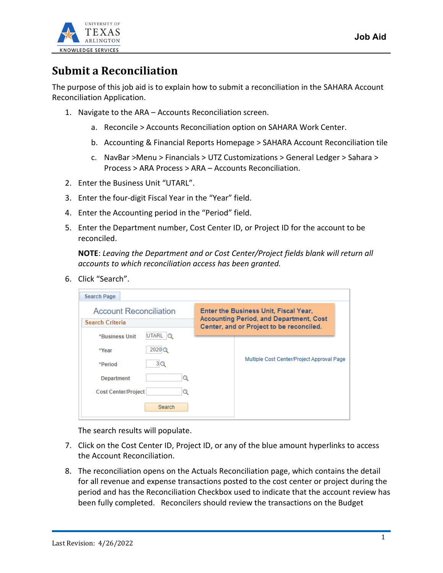

## **Submit a Reconciliation**

The purpose of this job aid is to explain how to submit a reconciliation in the SAHARA Account Reconciliation Application.

- 1. Navigate to the ARA Accounts Reconciliation screen.
	- a. Reconcile > Accounts Reconciliation option on SAHARA Work Center.
	- b. Accounting & Financial Reports Homepage > SAHARA Account Reconciliation tile
	- c. NavBar >Menu > Financials > UTZ Customizations > General Ledger > Sahara > Process > ARA Process > ARA – Accounts Reconciliation.
- 2. Enter the Business Unit "UTARL".
- 3. Enter the four-digit Fiscal Year in the "Year" field.
- 4. Enter the Accounting period in the "Period" field.
- 5. Enter the Department number, Cost Center ID, or Project ID for the account to be reconciled.

**NOTE**: *Leaving the Department and or Cost Center/Project fields blank will return all accounts to which reconciliation access has been granted.*

6. Click "Search".

| <b>Search Page</b>                               |                                                                                                                                     |                                            |  |  |
|--------------------------------------------------|-------------------------------------------------------------------------------------------------------------------------------------|--------------------------------------------|--|--|
| <b>Account Reconciliation</b><br>Search Criteria | Enter the Business Unit, Fiscal Year,<br><b>Accounting Period, and Department, Cost</b><br>Center, and or Project to be reconciled. |                                            |  |  |
| UTARL<br>*Business Unit<br>$\circ$               |                                                                                                                                     |                                            |  |  |
| $2020$ <sup><math>\odot</math></sup><br>*Year    |                                                                                                                                     |                                            |  |  |
| 3 Q<br>*Period                                   |                                                                                                                                     | Multiple Cost Center/Project Approval Page |  |  |
| <b>Department</b><br>Ω                           |                                                                                                                                     |                                            |  |  |
| <b>Cost Center/Project</b>                       |                                                                                                                                     |                                            |  |  |
| Search                                           |                                                                                                                                     |                                            |  |  |

The search results will populate.

- 7. Click on the Cost Center ID, Project ID, or any of the blue amount hyperlinks to access the Account Reconciliation.
- 8. The reconciliation opens on the Actuals Reconciliation page, which contains the detail for all revenue and expense transactions posted to the cost center or project during the period and has the Reconciliation Checkbox used to indicate that the account review has been fully completed. Reconcilers should review the transactions on the Budget